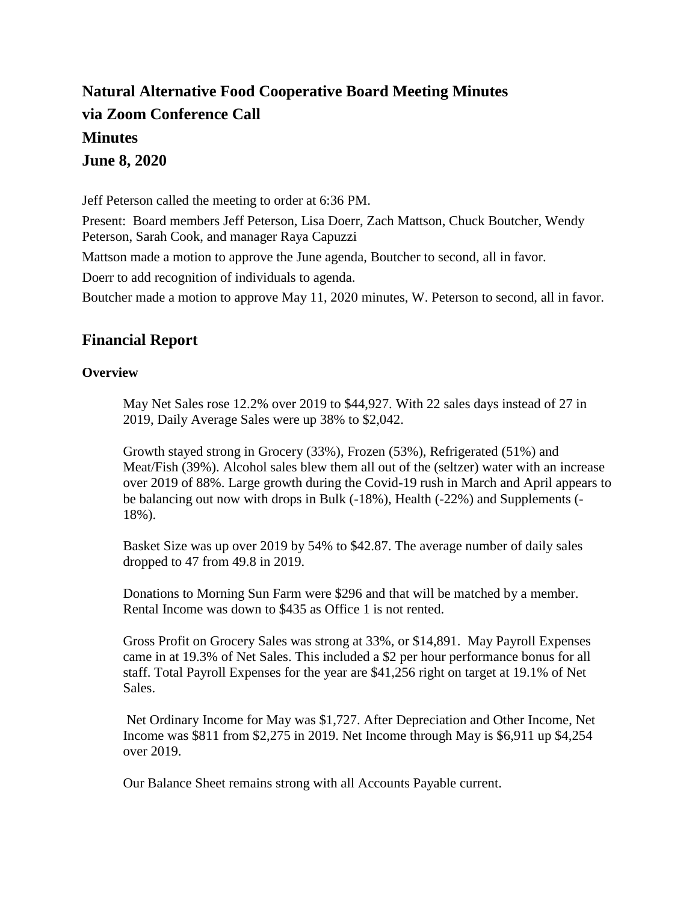# **Natural Alternative Food Cooperative Board Meeting Minutes via Zoom Conference Call Minutes June 8, 2020**

Jeff Peterson called the meeting to order at 6:36 PM.

Present: Board members Jeff Peterson, Lisa Doerr, Zach Mattson, Chuck Boutcher, Wendy Peterson, Sarah Cook, and manager Raya Capuzzi

Mattson made a motion to approve the June agenda, Boutcher to second, all in favor.

Doerr to add recognition of individuals to agenda.

Boutcher made a motion to approve May 11, 2020 minutes, W. Peterson to second, all in favor.

### **Financial Report**

#### **Overview**

May Net Sales rose 12.2% over 2019 to \$44,927. With 22 sales days instead of 27 in 2019, Daily Average Sales were up 38% to \$2,042.

Growth stayed strong in Grocery (33%), Frozen (53%), Refrigerated (51%) and Meat/Fish (39%). Alcohol sales blew them all out of the (seltzer) water with an increase over 2019 of 88%. Large growth during the Covid-19 rush in March and April appears to be balancing out now with drops in Bulk (-18%), Health (-22%) and Supplements (- 18%).

Basket Size was up over 2019 by 54% to \$42.87. The average number of daily sales dropped to 47 from 49.8 in 2019.

Donations to Morning Sun Farm were \$296 and that will be matched by a member. Rental Income was down to \$435 as Office 1 is not rented.

Gross Profit on Grocery Sales was strong at 33%, or \$14,891. May Payroll Expenses came in at 19.3% of Net Sales. This included a \$2 per hour performance bonus for all staff. Total Payroll Expenses for the year are \$41,256 right on target at 19.1% of Net Sales.

Net Ordinary Income for May was \$1,727. After Depreciation and Other Income, Net Income was \$811 from \$2,275 in 2019. Net Income through May is \$6,911 up \$4,254 over 2019.

Our Balance Sheet remains strong with all Accounts Payable current.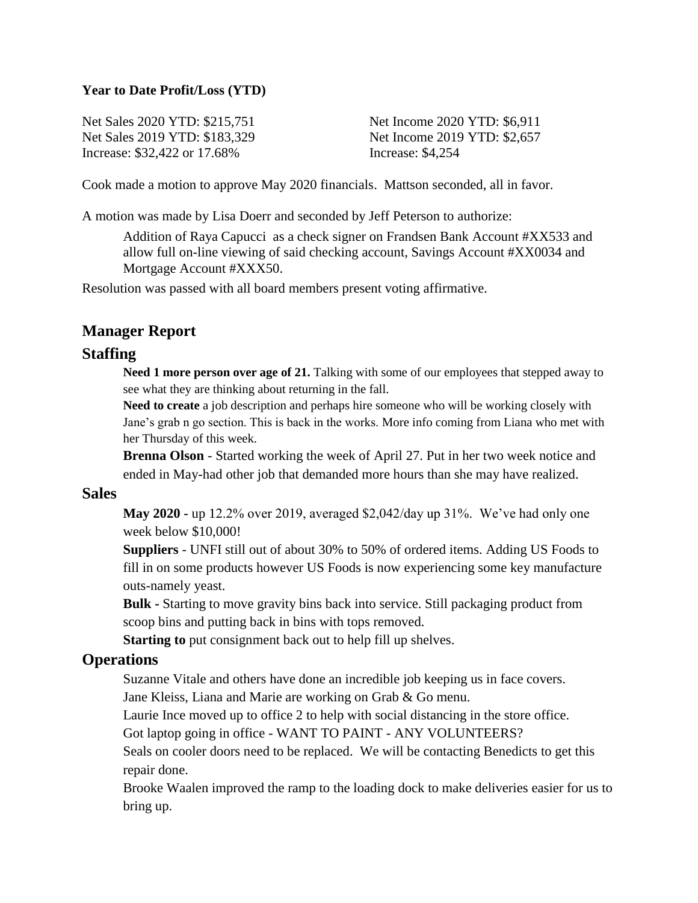#### **Year to Date Profit/Loss (YTD)**

Net Sales 2020 YTD: \$215,751 Net Sales 2019 YTD: \$183,329 Increase: \$32,422 or 17.68%

Net Income 2020 YTD: \$6,911 Net Income 2019 YTD: \$2,657 Increase: \$4,254

Cook made a motion to approve May 2020 financials. Mattson seconded, all in favor.

A motion was made by Lisa Doerr and seconded by Jeff Peterson to authorize:

Addition of Raya Capucci as a check signer on Frandsen Bank Account #XX533 and allow full on-line viewing of said checking account, Savings Account #XX0034 and Mortgage Account #XXX50.

Resolution was passed with all board members present voting affirmative.

### **Manager Report**

#### **Staffing**

**Need 1 more person over age of 21.** Talking with some of our employees that stepped away to see what they are thinking about returning in the fall.

**Need to create** a job description and perhaps hire someone who will be working closely with Jane's grab n go section. This is back in the works. More info coming from Liana who met with her Thursday of this week.

**Brenna Olson** - Started working the week of April 27. Put in her two week notice and ended in May-had other job that demanded more hours than she may have realized.

#### **Sales**

**May 2020 -** up 12.2% over 2019, averaged \$2,042/day up 31%. We've had only one week below \$10,000!

**Suppliers** - UNFI still out of about 30% to 50% of ordered items. Adding US Foods to fill in on some products however US Foods is now experiencing some key manufacture outs-namely yeast.

**Bulk -** Starting to move gravity bins back into service. Still packaging product from scoop bins and putting back in bins with tops removed.

**Starting to** put consignment back out to help fill up shelves.

#### **Operations**

Suzanne Vitale and others have done an incredible job keeping us in face covers.

Jane Kleiss, Liana and Marie are working on Grab & Go menu.

Laurie Ince moved up to office 2 to help with social distancing in the store office.

Got laptop going in office - WANT TO PAINT - ANY VOLUNTEERS?

Seals on cooler doors need to be replaced. We will be contacting Benedicts to get this repair done.

Brooke Waalen improved the ramp to the loading dock to make deliveries easier for us to bring up.